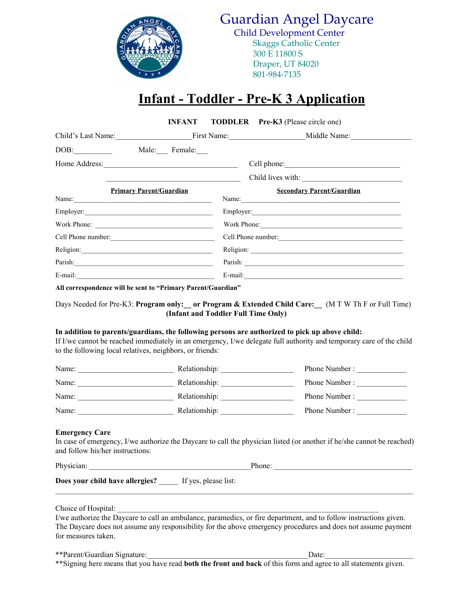

Guardian Angel Daycare Child Development Center

> Skaggs Catholic Center 300 E 11800 S Draper, UT 84020 801-984-7135

# **Infant - Toddler - Pre-K 3 Application**

|                    | INFANT                                                       |                    | <b>TODDLER</b> Pre-K3 (Please circle one)                                                                                                                                                                             |
|--------------------|--------------------------------------------------------------|--------------------|-----------------------------------------------------------------------------------------------------------------------------------------------------------------------------------------------------------------------|
|                    |                                                              |                    | Child's Last Name: First Name: Middle Name: Middle Name:                                                                                                                                                              |
| DOB:               | Male: Female:                                                |                    |                                                                                                                                                                                                                       |
|                    |                                                              |                    |                                                                                                                                                                                                                       |
|                    |                                                              | Child lives with:  |                                                                                                                                                                                                                       |
|                    | <b>Primary Parent/Guardian</b>                               |                    | <b>Secondary Parent/Guardian</b><br>Name:                                                                                                                                                                             |
|                    |                                                              |                    |                                                                                                                                                                                                                       |
|                    |                                                              | Work Phone:        |                                                                                                                                                                                                                       |
| Cell Phone number: |                                                              | Cell Phone number: |                                                                                                                                                                                                                       |
|                    |                                                              |                    |                                                                                                                                                                                                                       |
|                    |                                                              |                    |                                                                                                                                                                                                                       |
| E-mail: E-mail:    |                                                              |                    |                                                                                                                                                                                                                       |
|                    | All correspondence will be sent to "Primary Parent/Guardian" |                    |                                                                                                                                                                                                                       |
|                    | (Infant and Toddler Full Time Only)                          |                    | Days Needed for Pre-K3: Program only: __ or Program & Extended Child Care: __ (M T W Th F or Full Time)                                                                                                               |
|                    | to the following local relatives, neighbors, or friends:     |                    | In addition to parents/guardians, the following persons are authorized to pick up above child:<br>If I/we cannot be reached immediately in an emergency, I/we delegate full authority and temporary care of the child |
|                    |                                                              |                    | Phone Number :                                                                                                                                                                                                        |
|                    |                                                              |                    |                                                                                                                                                                                                                       |
|                    |                                                              |                    |                                                                                                                                                                                                                       |
| Name:              | Relationship:                                                |                    | Phone Number:                                                                                                                                                                                                         |

## **Emergency Care**

In case of emergency, I/we authorize the Daycare to call the physician listed (or another if he/she cannot be reached) and follow his/her instructions:

Physician:  $\blacksquare$ 

**Does your child have allergies?** \_\_\_\_\_ If yes, please list:

Choice of Hospital:

I/we authorize the Daycare to call an ambulance, paramedics, or fire department, and to follow instructions given. The Daycare does not assume any responsibility for the above emergency procedures and does not assume payment for measures taken.

 $\mathcal{L}_\mathcal{L} = \{ \mathcal{L}_\mathcal{L} = \{ \mathcal{L}_\mathcal{L} = \{ \mathcal{L}_\mathcal{L} = \{ \mathcal{L}_\mathcal{L} = \{ \mathcal{L}_\mathcal{L} = \{ \mathcal{L}_\mathcal{L} = \{ \mathcal{L}_\mathcal{L} = \{ \mathcal{L}_\mathcal{L} = \{ \mathcal{L}_\mathcal{L} = \{ \mathcal{L}_\mathcal{L} = \{ \mathcal{L}_\mathcal{L} = \{ \mathcal{L}_\mathcal{L} = \{ \mathcal{L}_\mathcal{L} = \{ \mathcal{L}_\mathcal{$ 

\*\*Parent/Guardian Signature:\_\_\_\_\_\_\_\_\_\_\_\_\_\_\_\_\_\_\_\_\_\_\_\_\_\_\_\_\_\_\_\_\_\_\_\_\_\_\_\_\_\_Date:\_\_\_\_\_\_\_\_\_\_\_\_\_\_\_\_\_\_\_\_\_\_\_ \*\*Signing here means that you have read **both the front and back** of this form and agree to all statements given.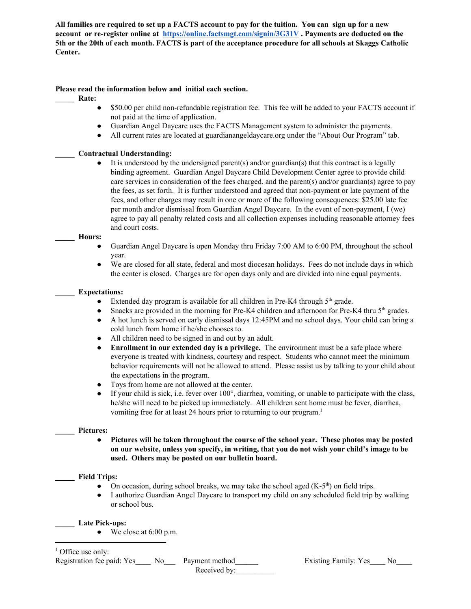All families are required to set up a FACTS account to pay for the tuition. You can sign up for a new **account or re-register online at <https://online.factsmgt.com/signin/3G31V> . Payments are deducted on the** 5th or the 20th of each month. FACTS is part of the acceptance procedure for all schools at Skaggs Catholic **Center.**

# **Please read the information below and initial each section.**

- **\_\_\_\_\_ Rate:**
	- \$50.00 per child non-refundable registration fee. This fee will be added to your FACTS account if not paid at the time of application.
	- Guardian Angel Daycare uses the FACTS Management system to administer the payments.
	- All current rates are located at guardianangeldaycare.org under the "About Our Program" tab.

## **\_\_\_\_\_ Contractual Understanding:**

It is understood by the undersigned parent(s) and/or guardian(s) that this contract is a legally binding agreement. Guardian Angel Daycare Child Development Center agree to provide child care services in consideration of the fees charged, and the parent(s) and/or guardian(s) agree to pay the fees, as set forth. It is further understood and agreed that non-payment or late payment of the fees, and other charges may result in one or more of the following consequences: \$25.00 late fee per month and/or dismissal from Guardian Angel Daycare. In the event of non-payment, I (we) agree to pay all penalty related costs and all collection expenses including reasonable attorney fees and court costs.

## **\_\_\_\_\_ Hours:**

- Guardian Angel Daycare is open Monday thru Friday 7:00 AM to 6:00 PM, throughout the school year.
- We are closed for all state, federal and most diocesan holidays. Fees do not include days in which the center is closed. Charges are for open days only and are divided into nine equal payments.

## **\_\_\_\_\_ Expectations:**

- Extended day program is available for all children in Pre-K4 through  $5<sup>th</sup>$  grade.
- Snacks are provided in the morning for Pre-K4 children and afternoon for Pre-K4 thru 5<sup>th</sup> grades.
- A hot lunch is served on early dismissal days 12:45PM and no school days. Your child can bring a cold lunch from home if he/she chooses to.
- All children need to be signed in and out by an adult.
- **Enrollment in our extended day is a privilege.** The environment must be a safe place where everyone is treated with kindness, courtesy and respect. Students who cannot meet the minimum behavior requirements will not be allowed to attend. Please assist us by talking to your child about the expectations in the program.
- Toys from home are not allowed at the center.
- $\bullet$  If your child is sick, i.e. fever over 100 $^{\circ}$ , diarrhea, vomiting, or unable to participate with the class, he/she will need to be picked up immediately. All children sent home must be fever, diarrhea, vomiting free for at least 24 hours prior to returning to our program. 1

## **\_\_\_\_\_ Pictures:**

**● Pictures will be taken throughout the course of the school year. These photos may be posted on our website, unless you specify, in writing, that you do not wish your child's image to be used. Others may be posted on our bulletin board.**

## **\_\_\_\_\_ Field Trips:**

- On occasion, during school breaks, we may take the school aged  $(K-5<sup>th</sup>)$  on field trips.
- I authorize Guardian Angel Daycare to transport my child on any scheduled field trip by walking or school bus.

## **\_\_\_\_\_ Late Pick-ups:**

 $\bullet$  We close at 6:00 p.m.

<sup>1</sup> Office use only:

Registration fee paid: Yes\_\_\_\_ No\_\_\_ Payment method\_\_\_\_\_\_ Existing Family: Yes\_\_\_ No\_\_\_

Received by: